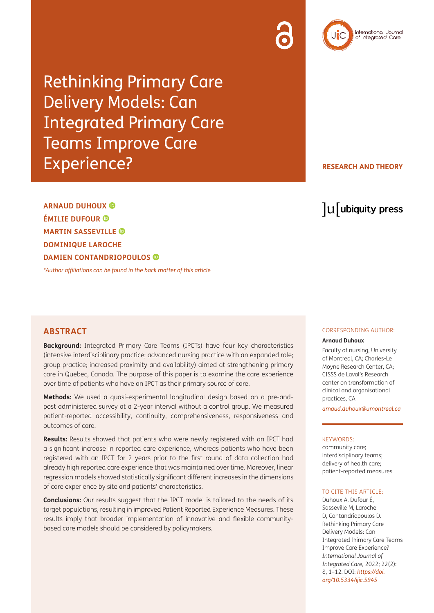



Rethinking Primary Care Delivery Models: Can Integrated Primary Care Teams Improve Care Experience?

**RESEARCH AND THEORY**

**ARNAUD DUHOUX ÉMILIE DUFOUR MARTIN SASSEVILLE DOMINIQUE LAROCHE DAMIEN CONTANDRIOPOULOS**

*[\\*Author affiliations can be found in the back matter of this article](#page-9-0)*

lu ubiquity press

# **ABSTRACT**

**Background:** Integrated Primary Care Teams (IPCTs) have four key characteristics (intensive interdisciplinary practice; advanced nursing practice with an expanded role; group practice; increased proximity and availability) aimed at strengthening primary care in Quebec, Canada. The purpose of this paper is to examine the care experience over time of patients who have an IPCT as their primary source of care.

**Methods:** We used a quasi-experimental longitudinal design based on a pre-andpost administered survey at a 2-year interval without a control group. We measured patient-reported accessibility, continuity, comprehensiveness, responsiveness and outcomes of care.

**Results:** Results showed that patients who were newly registered with an IPCT had a significant increase in reported care experience, whereas patients who have been registered with an IPCT for 2 years prior to the first round of data collection had already high reported care experience that was maintained over time. Moreover, linear regression models showed statistically significant different increases in the dimensions of care experience by site and patients' characteristics.

**Conclusions:** Our results suggest that the IPCT model is tailored to the needs of its target populations, resulting in improved Patient Reported Experience Measures. These results imply that broader implementation of innovative and flexible communitybased care models should be considered by policymakers.

### CORRESPONDING AUTHOR:

### **Arnaud Duhoux**

Faculty of nursing, University of Montreal, CA; Charles-Le Moyne Research Center, CA; CISSS de Laval's Research center on transformation of clinical and organisational practices, CA

*[arnaud.duhoux@umontreal.ca](mailto:arnaud.duhoux@umontreal.ca)*

### KEYWORDS:

community care; interdisciplinary teams; delivery of health care; patient-reported measures

#### TO CITE THIS ARTICLE:

Duhoux A, Dufour É, Sasseville M, Laroche D, Contandriopoulos D. Rethinking Primary Care Delivery Models: Can Integrated Primary Care Teams Improve Care Experience? *International Journal of Integrated Care,* 2022; 22(2): 8, 1–12. DOI: *[https://doi.](https://doi.org/10.5334/ijic.5945) [org/10.5334/ijic.5945](https://doi.org/10.5334/ijic.5945)*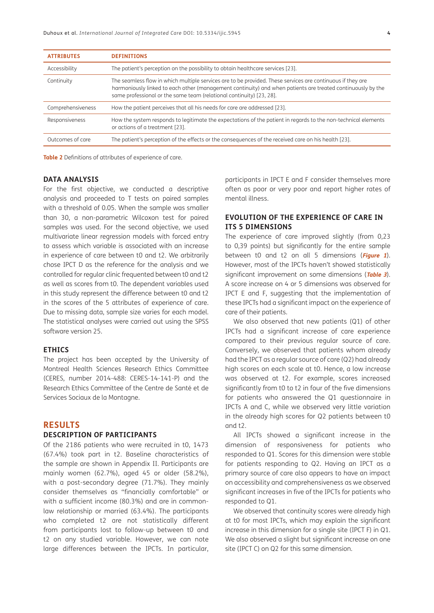| <b>ATTRIBUTES</b> | <b>DEFINITIONS</b>                                                                                                                                                                                                                                                                                |
|-------------------|---------------------------------------------------------------------------------------------------------------------------------------------------------------------------------------------------------------------------------------------------------------------------------------------------|
| Accessibility     | The patient's perception on the possibility to obtain healthcare services [23].                                                                                                                                                                                                                   |
| Continuity        | The seamless flow in which multiple services are to be provided. These services are continuous if they are<br>harmoniously linked to each other (management continuity) and when patients are treated continuously by the<br>same professional or the same team (relational continuity) [23, 28]. |
| Comprehensiveness | How the patient perceives that all his needs for care are addressed [23].                                                                                                                                                                                                                         |
| Responsiveness    | How the system responds to legitimate the expectations of the patient in regards to the non-technical elements<br>or actions of a treatment [23].                                                                                                                                                 |
| Outcomes of care  | The patient's perception of the effects or the consequences of the received care on his health [23].                                                                                                                                                                                              |

**Table 2** Definitions of attributes of experience of care.

### **DATA ANALYSIS**

For the first objective, we conducted a descriptive analysis and proceeded to T tests on paired samples with a threshold of 0.05. When the sample was smaller than 30, a non-parametric Wilcoxon test for paired samples was used. For the second objective, we used multivariate linear regression models with forced entry to assess which variable is associated with an increase in experience of care between t0 and t2. We arbitrarily chose IPCT D as the reference for the analysis and we controlled for regular clinic frequented between t0 and t2 as well as scores from t0. The dependent variables used in this study represent the difference between t0 and t2 in the scores of the 5 attributes of experience of care. Due to missing data, sample size varies for each model. The statistical analyses were carried out using the SPSS software version 25.

### **ETHICS**

The project has been accepted by the University of Montreal Health Sciences Research Ethics Committee (CERES, number 2014-488: CERES-14-141-P) and the Research Ethics Committee of the Centre de Santé et de Services Sociaux de la Montagne.

### **RESULTS**

### **DESCRIPTION OF PARTICIPANTS**

Of the 2186 patients who were recruited in t0, 1473 (67.4%) took part in t2. Baseline characteristics of the sample are shown in Appendix II. Participants are mainly women (62.7%), aged 45 or older (58.2%), with a post-secondary degree (71.7%). They mainly consider themselves as "financially comfortable" or with a sufficient income (80.3%) and are in commonlaw relationship or married (63.4%). The participants who completed t2 are not statistically different from participants lost to follow-up between t0 and t2 on any studied variable. However, we can note large differences between the IPCTs. In particular, participants in IPCT E and F consider themselves more often as poor or very poor and report higher rates of mental illness.

## **EVOLUTION OF THE EXPERIENCE OF CARE IN ITS 5 DIMENSIONS**

The experience of care improved slightly (from 0,23 to 0,39 points) but significantly for the entire sample between t0 and t2 on all 5 dimensions (**[Figure 1](#page-4-0)**). However, most of the IPCTs haven't showed statistically significant improvement on some dimensions (**[Table 3](#page-4-1)**). A score increase on 4 or 5 dimensions was observed for IPCT E and F, suggesting that the implementation of these IPCTs had a significant impact on the experience of care of their patients.

We also observed that new patients (Q1) of other IPCTs had a significant increase of care experience compared to their previous regular source of care. Conversely, we observed that patients whom already had the IPCT as a regular source of care (Q2) had already high scores on each scale at t0. Hence, a low increase was observed at t2. For example, scores increased significantly from t0 to t2 in four of the five dimensions for patients who answered the Q1 questionnaire in IPCTs A and C, while we observed very little variation in the already high scores for Q2 patients between t0 and t2.

All IPCTs showed a significant increase in the dimension of responsiveness for patients who responded to Q1. Scores for this dimension were stable for patients responding to Q2. Having an IPCT as a primary source of care also appears to have an impact on accessibility and comprehensiveness as we observed significant increases in five of the IPCTs for patients who responded to Q1.

We observed that continuity scores were already high at t0 for most IPCTs, which may explain the significant increase in this dimension for a single site (IPCT F) in Q1. We also observed a slight but significant increase on one site (IPCT C) on Q2 for this same dimension.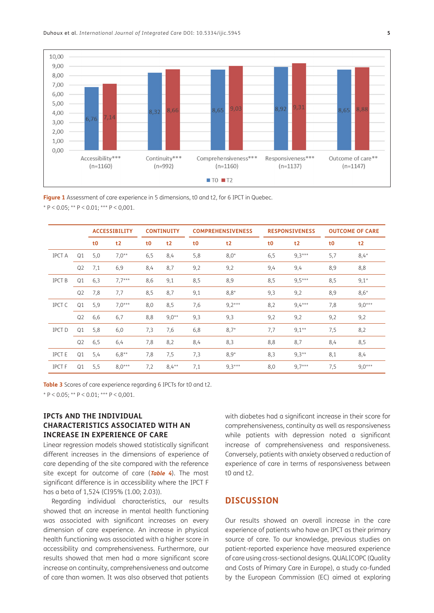

<span id="page-4-0"></span>Figure 1 Assessment of care experience in 5 dimensions, t0 and t2, for 6 IPCT in Quebec.  $* P < 0.05$ ;  $* P < 0.01$ ;  $* * P < 0.001$ .

|               |                |                | <b>ACCESSIBILITY</b> |                | <b>CONTINUITY</b> |                | <b>COMPREHENSIVENESS</b> |                | <b>RESPONSIVENESS</b> |                | <b>OUTCOME OF CARE</b> |
|---------------|----------------|----------------|----------------------|----------------|-------------------|----------------|--------------------------|----------------|-----------------------|----------------|------------------------|
|               |                | t <sub>0</sub> | t2                   | t <sub>0</sub> | t2                | t <sub>0</sub> | t2                       | t <sub>0</sub> | t2                    | t <sub>0</sub> | t2                     |
| <b>IPCT A</b> | Q1             | 5,0            | $7,0^{**}$           | 6,5            | 8,4               | 5,8            | $8,0*$                   | 6,5            | $9,3***$              | 5,7            | $8,4*$                 |
|               | Q <sub>2</sub> | 7,1            | 6,9                  | 8,4            | 8,7               | 9,2            | 9,2                      | 9,4            | 9,4                   | 8,9            | 8,8                    |
| <b>IPCT B</b> | Q1             | 6,3            | $7,7***$             | 8,6            | 9,1               | 8,5            | 8,9                      | 8,5            | $9,5***$              | 8,5            | $9,1*$                 |
|               | Q <sub>2</sub> | 7,8            | 7,7                  | 8,5            | 8,7               | 9,1            | $8,8*$                   | 9,3            | 9,2                   | 8,9            | $8,6*$                 |
| <b>IPCT C</b> | Q1             | 5,9            | $7,0***$             | 8,0            | 8,5               | 7,6            | $9,2***$                 | 8,2            | $9,4***$              | 7,8            | $9,0***$               |
|               | Q <sub>2</sub> | 6,6            | 6,7                  | 8,8            | $9,0^{**}$        | 9,3            | 9,3                      | 9,2            | 9,2                   | 9,2            | 9,2                    |
| <b>IPCT D</b> | Q1             | 5,8            | 6,0                  | 7,3            | 7,6               | 6,8            | $8,7*$                   | 7,7            | $9,1**$               | 7,5            | 8,2                    |
|               | Q <sub>2</sub> | 6,5            | 6,4                  | 7,8            | 8,2               | 8,4            | 8,3                      | 8,8            | 8,7                   | 8,4            | 8,5                    |
| <b>IPCTE</b>  | Q1             | 5,4            | $6,8**$              | 7,8            | 7,5               | 7,3            | $8,9*$                   | 8,3            | $9,3**$               | 8,1            | 8,4                    |
| <b>IPCTF</b>  | Q1             | 5,5            | $8.0***$             | 7,2            | $8,4**$           | 7,1            | $9.3***$                 | 8,0            | $9.7***$              | 7,5            | $9.0***$               |

<span id="page-4-1"></span>**Table 3** Scores of care experience regarding 6 IPCTs for t0 and t2. \*  $P < 0.05$ ; \*\*  $P < 0.01$ ; \*\*\*  $P < 0.001$ .

## **IPCTs AND THE INDIVIDUAL CHARACTERISTICS ASSOCIATED WITH AN INCREASE IN EXPERIENCE OF CARE**

Linear regression models showed statistically significant different increases in the dimensions of experience of care depending of the site compared with the reference site except for outcome of care (**[Table 4](#page-6-0)**). The most significant difference is in accessibility where the IPCT F has a beta of 1,524 (CI95% (1.00; 2.03)).

Regarding individual characteristics, our results showed that an increase in mental health functioning was associated with significant increases on every dimension of care experience. An increase in physical health functioning was associated with a higher score in accessibility and comprehensiveness. Furthermore, our results showed that men had a more significant score increase on continuity, comprehensiveness and outcome of care than women. It was also observed that patients with diabetes had a significant increase in their score for comprehensiveness, continuity as well as responsiveness while patients with depression noted a significant increase of comprehensiveness and responsiveness. Conversely, patients with anxiety observed a reduction of experience of care in terms of responsiveness between t0 and t2 $-$ 

# **DISCUSSION**

Our results showed an overall increase in the care experience of patients who have an IPCT as their primary source of care. To our knowledge, previous studies on patient-reported experience have measured experience of care using cross-sectional designs. QUALICOPC (Quality and Costs of Primary Care in Europe), a study co-funded by the European Commission (EC) aimed at exploring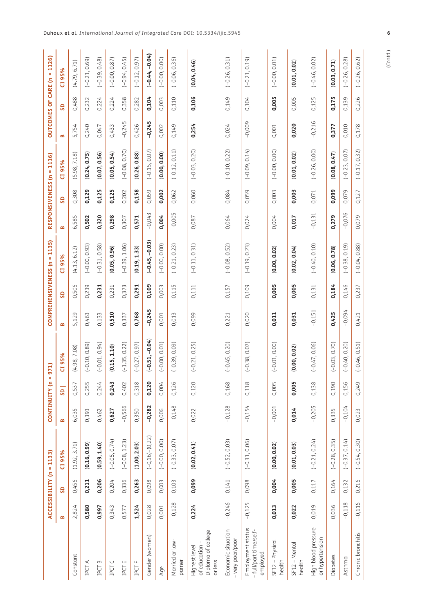|                                                                |          | ACCESSIBILITY (n = 1133) |                        |          | CONTINUITY (n =          | 971)            |          |       | COMPREHENSIVENESS (n = 1135) |          |       | RESPONSIVENESS (n = 1116) |          |       | OUTCOMES OF CARE (n = 1126) |
|----------------------------------------------------------------|----------|--------------------------|------------------------|----------|--------------------------|-----------------|----------|-------|------------------------------|----------|-------|---------------------------|----------|-------|-----------------------------|
|                                                                | B        | SD                       | CI95%                  | B        | $\overline{\mathsf{SD}}$ | CI 95%          | B        | SD    | CI95%                        | B        | SD    | CI 95%                    | B        | SD    | CI 95%                      |
| Constant                                                       | 2,824    | 0,456                    | (1.92, 3.71)           | 6,035    | 0,537                    | 4.98, 7.08)     | 5,129    | 0,506 | (4.13, 6.12)                 | 6,585    | 0,308 | (5.98, 7.18)              | 5,754    | 0,488 | (4.79, 6.71)                |
| ⋖<br>IPCT.                                                     | 0,580    | 0,211                    | (0.16, 0.99)           | 0,393    | 0,255                    | $-0.10, 0.89$   | 0,463    | 0,239 | $(-0.00, 0.93)$              | 0,502    | 0,129 | (0.24, 0.75)              | 0,240    | 0,232 | $(-0.21, 0.69)$             |
| $\, \underline{\circ} \,$<br>IPCT                              | 0,997    | 0,206                    | (0.59, 1.40)           | 0,462    | 0,244                    | $-0.01, 0.94$   | 0,133    | 0,231 | $(-0.31, 0.58)$              | 0,320    | 0,125 | (0.07, 0.56)              | 0,047    | 0,224 | $(-0.39, 0.48)$             |
| U<br>IDCT                                                      | 0,343    | 0,204                    | $(-0.05, 0.74)$        | 0,627    | 0,243                    | 0.15, 1.10      | 0,510    | 0,231 | (0.05, 0.96)                 | 0,298    | 0,125 | (0.05, 0.54)              | 0,433    | 0,224 | $(-0.00, 0.87)$             |
| ш<br>IPCT                                                      | 0,577    | 0,336                    | $(-0.08, 1.23)$        | $-0,566$ | 0,402                    | $(-1.35, 0.22)$ | 0,337    | 0,373 | $(-0.39, 1.06)$              | 0,307    | 0,202 | $(-0.08, 0.70)$           | $-0,245$ | 0,358 | $(-0.94, 0.45)$             |
| щ<br>IPCT                                                      | 1,524    | 0,263                    | (1.00, 2.03)           | 0,350    | 0,318                    | $-0.27, 0.97$   | 0,768    | 0,291 | (0.19, 1.33)                 | 0,571    | 0,158 | (0.26, 0.88)              | 0,426    | 0,282 | $(-0.12, 0.97)$             |
| Gender (women)                                                 | 0,028    | 0,098                    | $(-0, 16)$ - $(0, 22)$ | $-0,282$ | 0,120                    | $-0.51, -0.04$  | $-0,245$ | 0,109 | $(-0.45, -0.03)$             | $-0,043$ | 0,059 | $(-0.15, 0.07)$           | $-0,245$ | 0,104 | $(-0.44,-0.04)$             |
| Age                                                            | 0,001    | 0,003                    | $(-0.00, 0.00)$        | 0,006    | 0,004                    | $-0.00, 0.01$   | 0,001    | 0,003 | $(-0.00, 0.00)$              | 0,004    | 0,002 | (0.00, 0.00)              | 0,002    | 0,003 | $(-0.00, 0.00)$             |
| Married or law-<br>parner                                      | $-0,128$ | 0,103                    | $(-0.33, 0.07)$        | $-0,148$ | 0,126                    | $-0.39, 0.09$   | 0,013    | 0,115 | $(-0.21, 0.23)$              | $-0,005$ | 0,062 | $(-0.12, 0.11)$           | 0,149    | 0,110 | $(-0.06, 0.36)$             |
| Diploma of college<br>of education<br>Highest level<br>or less | 0,224    | 0,099                    | (0.02, 0.41)           | 0,022    | 0,120                    | $(-0.21, 0.25)$ | 0,099    | 0,111 | $(-0.11, 0.31)$              | 0,087    | 0,060 | $(-0.03, 0.20)$           | 0,254    | 0,106 | (0.04, 0.46)                |
| Economic situation<br>very poor/poor                           | $-0,246$ | 0,141                    | $(-0.52, 0.03)$        | $-0,128$ | 0,168                    | $-0.45, 0.20$   | 0,221    | 0,157 | $(-0.08, 0.52)$              | 0,064    | 0,084 | $(-0.10, 0.22)$           | 0,024    | 0,149 | $(-0.26, 0.31)$             |
| Employment status<br>full/part time/self-<br>employed          | $-0,125$ | 0,098                    | $(-0.31, 0.06)$        | $-0,154$ | 0,118                    | $-0.38, 0.07$   | 0,020    | 0,109 | $(-0.19, 0.23)$              | 0,024    | 0,059 | $(-0.09, 0.14)$           | $-0,009$ | 0,104 | $(-0.21, 0.19)$             |
| $SF12 - Physical$<br>health                                    | 0,013    | 0,004                    | (0.00, 0.02)           | $-0,001$ | 0,005                    | $-0.01, 0.00$   | 0,011    | 0,005 | (0.00, 0.02)                 | 0,004    | 0,003 | $(-0.00, 0.00)$           | 0,001    | 0,005 | $(-0.00, 0.01)$             |
| $SF12 - Mentdl$<br>health                                      | 0,022    | 0,005                    | (0.01, 0.03)           | 0,014    | 0,005                    | (0.00, 0.02)    | 0,031    | 0,005 | (0.02, 0.04)                 | 0,017    | 0,003 | (0.01, 0.02)              | 0,020    | 0,005 | (0.01, 0.02)                |
| High blood pressure<br>or hypertension                         | 0,019    | 0,117                    | $(-0.21, 0.24)$        | $-0,205$ | 0,138                    | $-0.47, 0.06$   | $-0,151$ | 0,131 | $(-0.40, 0.10)$              | $-0,131$ | 0,071 | $(-0.26, 0.00)$           | $-0,216$ | 0,125 | $(-0.46, 0.02)$             |
| Diabetes                                                       | 0,036    | 0,164                    | $(-0.28, 0.35)$        | 0,335    | 0,190                    | $-0.03, 0.70$   | 0,425    | 0,184 | (0.06, 0.78)                 | 0,279    | 0,099 | (0.08, 0.47)              | 0,377    | 0,175 | (0.03, 0.71)                |
| Asthma                                                         | $-0,118$ | 0,132                    | $(-0.37, 0.14)$        | $-0,104$ | 0,156                    | $-0.40, 0.20$   | $-0,094$ | 0,146 | $(-0.38, 0.19)$              | $-0,076$ | 0,079 | $(-0.23, 0.07)$           | 0,010    | 0,139 | $(-0.26, 0.28)$             |
| Chronic bronchitis                                             | $-0,116$ | 0,216                    | $(-0.54, 0.30)$        | 0,023    | 0,249                    | $-0.46, 0.51$   | 0,421    | 0,237 | $(-0.04, 0.88)$              | 0,079    | 0,127 | $(-0.17, 0.32)$           | 0,178    | 0,226 | $(-0.26, 0.62)$             |
|                                                                |          |                          |                        |          |                          |                 |          |       |                              |          |       |                           |          |       |                             |

(Contd.)

**6**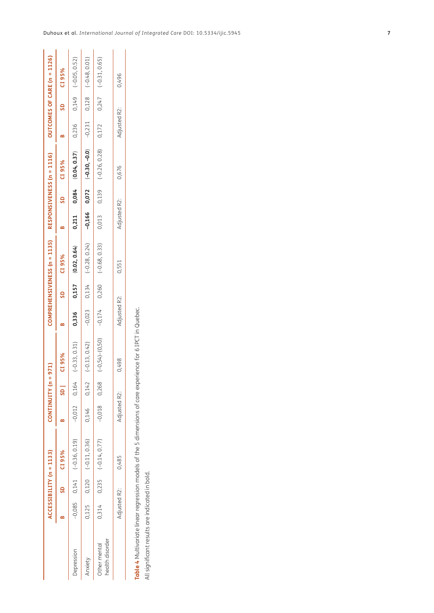|                                 |              | ACCESSIBILITY (n = 1133) |                                 |                | $CONTINUUTY$ (n = 971) |                                                     |              |           | COMPREHENSIVENESS (n = 1135)                                                                                                                                                                                                          |              |           | RESPONSIVENESS (n = 1116)                                      |              |          | OUTCOMES OF CARE (n = 1126) |
|---------------------------------|--------------|--------------------------|---------------------------------|----------------|------------------------|-----------------------------------------------------|--------------|-----------|---------------------------------------------------------------------------------------------------------------------------------------------------------------------------------------------------------------------------------------|--------------|-----------|----------------------------------------------------------------|--------------|----------|-----------------------------|
|                                 |              | SD CI 95%                |                                 |                | $\overline{\text{SD}}$ | CI95%                                               |              | SD CI 95% |                                                                                                                                                                                                                                       |              | SD CI 95% |                                                                |              | SD CI95% |                             |
| Depression                      |              |                          | $-0,085$ 0,141 $(-0.36, 0.19)$  | $-0,012$ 0,164 |                        | $(-0.33, 0.31)$                                     | 0,336        |           | $0,157$ (0.02, 0.64)                                                                                                                                                                                                                  |              |           | $0,211$ $0,084$ $(0.04, 0.37)$ $0,236$ $0,149$ $(-0.05, 0.52)$ |              |          |                             |
| Anxiety                         |              |                          | $0,125$ $0,120$ $(-0.11, 0.36)$ | 0,146 0,142    |                        | $(-0.13, 0.42)$                                     |              |           | $0.23$ $0.23$ $0.28$ , $0.28$ , $0.28$ , $0.28$ , $0.28$ , $0.28$ , $0.28$ , $0.23$ $0.23$ $0.23$ $0.23$ $0.23$ $0.23$ $0.23$ $0.23$ $0.23$ $0.23$ $0.23$ $0.23$ $0.23$ $0.23$ $0.23$ $0.23$ $0.23$ $0.23$ $0.23$ $0.23$ $0.23$ $0.2$ |              |           |                                                                |              |          |                             |
| health disorder<br>Other mental |              |                          | $0,314$ $0,235$ $(-0.14, 0.77)$ | $-0,018$ 0,268 |                        | $(-0.54)$ $-(0.50)$ $-0.74$ $0.260$ $(-0.68, 0.33)$ |              |           |                                                                                                                                                                                                                                       |              |           | $0,013$ $0,139$ $(-0.26, 0.28)$ $0,172$                        |              |          | $0,247$ (-0.31, 0.65)       |
|                                 | Adjusted R2: |                          | 0,485                           | Adjusted R2:   |                        | 0,498                                               | Adjusted R2: |           | 0,551                                                                                                                                                                                                                                 | Adjusted R2: |           | 0,676                                                          | Adjusted R2: |          | 0,496                       |
|                                 |              |                          |                                 |                |                        |                                                     |              |           |                                                                                                                                                                                                                                       |              |           |                                                                |              |          |                             |

Table 4 Multivariate linear regression models of the 5 dimensions of care experience for 6 IPCT in Quebec. **Table 4** Multivariate linear regression models of the 5 dimensions of care experience for 6 IPCT in Quebec.

<span id="page-6-0"></span>All significant results are indicated in bold. All significant results are indicated in bold.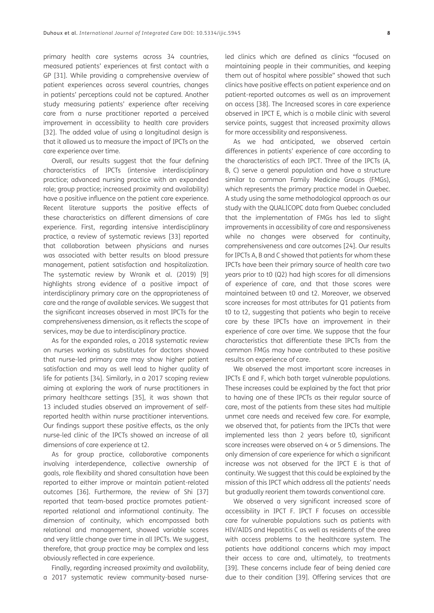primary health care systems across 34 countries, measured patients' experiences at first contact with a GP [[31](#page-10-0)]. While providing a comprehensive overview of patient experiences across several countries, changes in patients' perceptions could not be captured. Another study measuring patients' experience after receiving care from a nurse practitioner reported a perceived improvement in accessibility to health care providers [\[32\]](#page-10-1). The added value of using a longitudinal design is that it allowed us to measure the impact of IPCTs on the care experience over time.

Overall, our results suggest that the four defining characteristics of IPCTs (intensive interdisciplinary practice; advanced nursing practice with an expanded role; group practice; increased proximity and availability) have a positive influence on the patient care experience. Recent literature supports the positive effects of these characteristics on different dimensions of care experience. First, regarding intensive interdisciplinary practice, a review of systematic reviews [\[33\]](#page-10-2) reported that collaboration between physicians and nurses was associated with better results on blood pressure management, patient satisfaction and hospitalization. The systematic review by Wranik et al. (2019) [\[9](#page-9-1)] highlights strong evidence of a positive impact of interdisciplinary primary care on the appropriateness of care and the range of available services. We suggest that the significant increases observed in most IPCTs for the comprehensiveness dimension, as it reflects the scope of services, may be due to interdisciplinary practice.

As for the expanded roles, a 2018 systematic review on nurses working as substitutes for doctors showed that nurse-led primary care may show higher patient satisfaction and may as well lead to higher quality of life for patients [\[34](#page-10-3)]. Similarly, in a 2017 scoping review aiming at exploring the work of nurse practitioners in primary healthcare settings [[35\]](#page-11-0), it was shown that 13 included studies observed an improvement of selfreported health within nurse practitioner interventions. Our findings support these positive effects, as the only nurse-led clinic of the IPCTs showed an increase of all dimensions of care experience at t2.

As for group practice, collaborative components involving interdependence, collective ownership of goals, role flexibility and shared consultation have been reported to either improve or maintain patient-related outcomes [\[36\]](#page-11-1). Furthermore, the review of Shi [\[37](#page-11-2)] reported that team-based practice promotes patientreported relational and informational continuity. The dimension of continuity, which encompassed both relational and management, showed variable scores and very little change over time in all IPCTs. We suggest, therefore, that group practice may be complex and less obviously reflected in care experience.

Finally, regarding increased proximity and availability, a 2017 systematic review community-based nurseled clinics which are defined as clinics "focused on maintaining people in their communities, and keeping them out of hospital where possible" showed that such clinics have positive effects on patient experience and on patient-reported outcomes as well as an improvement on access [[38](#page-11-3)]. The Increased scores in care experience observed in IPCT E, which is a mobile clinic with several service points, suggest that increased proximity allows for more accessibility and responsiveness.

As we had anticipated, we observed certain differences in patients' experience of care according to the characteristics of each IPCT. Three of the IPCTs (A, B, C) serve a general population and have a structure similar to common Family Medicine Groups (FMGs), which represents the primary practice model in Quebec. A study using the same methodological approach as our study with the QUALICOPC data from Quebec concluded that the implementation of FMGs has led to slight improvements in accessibility of care and responsiveness while no changes were observed for continuity, comprehensiveness and care outcomes [\[24](#page-10-4)]. Our results for IPCTs A, B and C showed that patients for whom these IPCTs have been their primary source of health care two years prior to t0 (Q2) had high scores for all dimensions of experience of care, and that those scores were maintained between t0 and t2. Moreover, we observed score increases for most attributes for Q1 patients from t0 to t2, suggesting that patients who begin to receive care by these IPCTs have an improvement in their experience of care over time. We suppose that the four characteristics that differentiate these IPCTs from the common FMGs may have contributed to these positive results on experience of care.

We observed the most important score increases in IPCTs E and F, which both target vulnerable populations. These increases could be explained by the fact that prior to having one of these IPCTs as their regular source of care, most of the patients from these sites had multiple unmet care needs and received few care. For example, we observed that, for patients from the IPCTs that were implemented less than 2 years before t0, significant score increases were observed on 4 or 5 dimensions. The only dimension of care experience for which a significant increase was not observed for the IPCT E is that of continuity. We suggest that this could be explained by the mission of this IPCT which address all the patients' needs but gradually reorient them towards conventional care.

We observed a very significant increased score of accessibility in IPCT F. IPCT F focuses on accessible care for vulnerable populations such as patients with HIV/AIDS and Hepatitis C as well as residents of the area with access problems to the healthcare system. The patients have additional concerns which may impact their access to care and, ultimately, to treatments [[39](#page-11-4)]. These concerns include fear of being denied care due to their condition [[39](#page-11-4)]. Offering services that are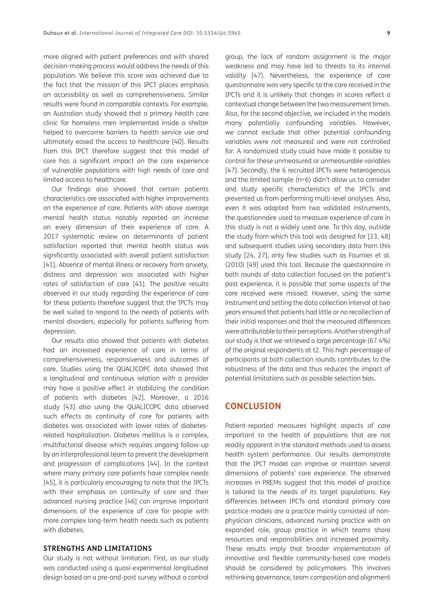more aligned with patient preferences and with shared decision-making process would address the needs of this population. We believe this score was achieved due to the fact that the mission of this IPCT places emphasis on accessibility as well as comprehensiveness. Similar results were found in comparable contexts. For example, an Australian study showed that a primary health care clinic for homeless men implemented inside a shelter helped to overcome barriers to health service use and ultimately eased the access to healthcare [[40](#page-11-5)]. Results from this IPCT therefore suggest that this model of care has a significant impact on the care experience of vulnerable populations with high needs of care and limited access to healthcare.

Our findings also showed that certain patients characteristics are associated with higher improvements on the experience of care. Patients with above average mental health status notably reported an increase on every dimension of their experience of care. A 2017 systematic review on determinants of patient satisfaction reported that mental health status was significantly associated with overall patient satisfaction [\[41\]](#page-11-6). Absence of mental illness or recovery from anxiety, distress and depression was associated with higher rates of satisfaction of care [\[41\]](#page-11-6). The positive results observed in our study regarding the experience of care for these patients therefore suggest that the IPCTs may be well suited to respond to the needs of patients with mental disorders, especially for patients suffering from depression.

Our results also showed that patients with diabetes had an increased experience of care in terms of comprehensiveness, responsiveness and outcomes of care. Studies using the QUALICOPC data showed that a longitudinal and continuous relation with a provider may have a positive effect in stabilizing the condition of patients with diabetes [\[42](#page-11-7)]. Moreover, a 2016 study [[43](#page-11-8)] also using the QUALICOPC data observed such effects as continuity of care for patients with diabetes was associated with lower rates of diabetesrelated hospitalization. Diabetes mellitus is a complex, multifactorial disease which requires ongoing follow-up by an interprofessional team to prevent the development and progression of complications [[44\]](#page-11-9). In the context where many primary care patients have complex needs [\[45\]](#page-11-10), it is particularly encouraging to note that the IPCTs with their emphasis on continuity of care and their advanced nursing practice [[46\]](#page-11-11) can improve important dimensions of the experience of care for people with more complex long-term health needs such as patients with diabetes.

### **STRENGTHS AND LIMITATIONS**

Our study is not without limitation. First, as our study was conducted using a quasi-experimental longitudinal design based on a pre-and-post survey without a control

group, the lack of random assignment is the major weakness and may have led to threats to its internal validity [[47](#page-11-12)]. Nevertheless, the experience of care questionnaire was very specific to the care received in the IPCTs and it is unlikely that changes in scores reflect a contextual change between the two measurement times. Also, for the second objective, we included in the models many potentially confounding variables. However, we cannot exclude that other potential confounding variables were not measured and were not controlled for. A randomized study could have made it possible to control for these unmeasured or unmeasurable variables [[47](#page-11-12)]. Secondly, the 6 recruited IPCTs were heterogenous and the limited sample (n=6) didn't allow us to consider and study specific characteristics of the IPCTs and prevented us from performing multi-level analyses. Also, even it was adapted from two validated instruments, the questionnaire used to measure experience of care in this study is not a widely used one. To this day, outside the study from which this tool was designed for [\[23,](#page-10-5) [48\]](#page-11-13) and subsequent studies using secondary data from this study [[24](#page-10-4), [27](#page-10-6)], only few studies such as Fournier et al. (2010) [\[49\]](#page-11-14) used this tool. Because the questionnaire in both rounds of data collection focused on the patient's past experience, it is possible that some aspects of the care received were missed. However, using the same instrument and setting the data collection interval at two years ensured that patients had little or no recollection of their initial responses and that the measured differences were attributable to their perceptions. Another strength of our study is that we retrieved a large percentage (67.4%) of the original respondents at t2. This high percentage of participants at both collection rounds contributes to the robustness of the data and thus reduces the impact of potential limitations such as possible selection bias.

## **CONCLUSION**

Patient-reported measures highlight aspects of care important to the health of populations that are not readily apparent in the standard methods used to assess health system performance. Our results demonstrate that the IPCT model can improve or maintain several dimensions of patients' care experience. The observed increases in PREMs suggest that this model of practice is tailored to the needs of its target populations. Key differences between IPCTs and standard primary care practice models are a practice mainly consisted of nonphysician clinicians, advanced nursing practice with an expanded role, group practice in which teams share resources and responsibilities and increased proximity. These results imply that broader implementation of innovative and flexible community-based care models should be considered by policymakers. This involves rethinking governance, team composition and alignment